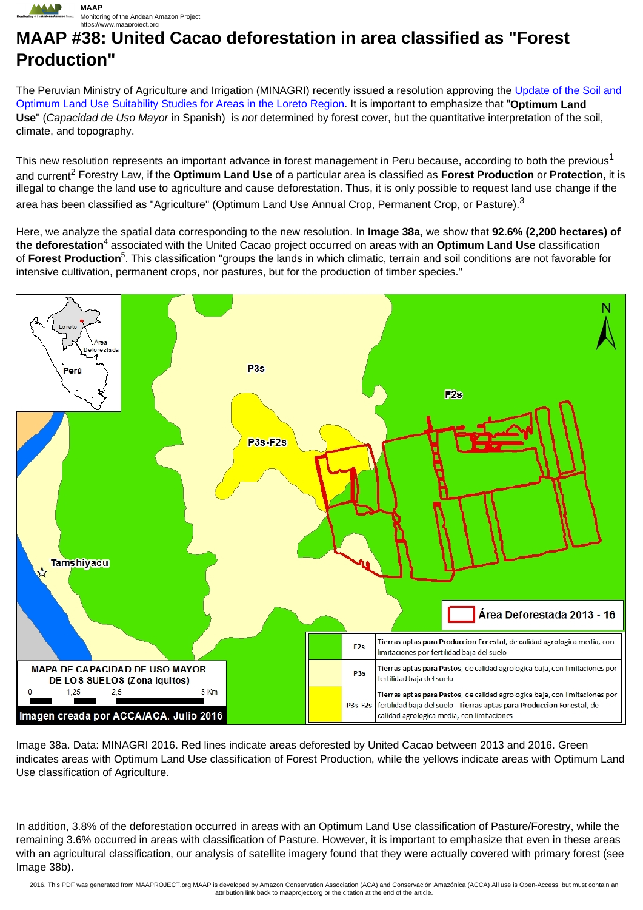

## **MAAP #38: United Cacao deforestation in area classified as "Forest Production"**

The Peruvian Ministry of Agriculture and Irrigation (MINAGRI) recently issued a resolution approving the [Update of the Soil and](http://busquedas.elperuano.com.pe/normaslegales/aprueban-actualizacion-de-los-estudios-de-suelos-y-capacida-resolucion-no-300-2016-minagri-dvdiar-dgaaa-1394544-1/) [Optimum Land Use Suitability Studies for Areas in the Loreto Region](http://busquedas.elperuano.com.pe/normaslegales/aprueban-actualizacion-de-los-estudios-de-suelos-y-capacida-resolucion-no-300-2016-minagri-dvdiar-dgaaa-1394544-1/). It is important to emphasize that "**Optimum Land Use**" (Capacidad de Uso Mayor in Spanish) is not determined by forest cover, but the quantitative interpretation of the soil, climate, and topography.

This new resolution represents an important advance in forest management in Peru because, according to both the previous<sup>1</sup> and current<sup>2</sup> Forestry Law, if the **Optimum Land Use** of a particular area is classified as **Forest Production** or **Protection,** it is illegal to change the land use to agriculture and cause deforestation. Thus, it is only possible to request land use change if the area has been classified as "Agriculture" (Optimum Land Use Annual Crop, Permanent Crop, or Pasture).<sup>3</sup>

Here, we analyze the spatial data corresponding to the new resolution. In **Image 38a**, we show that **92.6% (2,200 hectares) of** the deforestation<sup>4</sup> associated with the United Cacao project occurred on areas with an Optimum Land Use classification of Forest Production<sup>5</sup>. This classification "groups the lands in which climatic, terrain and soil conditions are not favorable for intensive cultivation, permanent crops, nor pastures, but for the production of timber species."



Image 38a. Data: MINAGRI 2016. Red lines indicate areas deforested by United Cacao between 2013 and 2016. Green indicates areas with Optimum Land Use classification of Forest Production, while the yellows indicate areas with Optimum Land Use classification of Agriculture.

In addition, 3.8% of the deforestation occurred in areas with an Optimum Land Use classification of Pasture/Forestry, while the remaining 3.6% occurred in areas with classification of Pasture. However, it is important to emphasize that even in these areas with an agricultural classification, our analysis of satellite imagery found that they were actually covered with primary forest (see Image 38b).